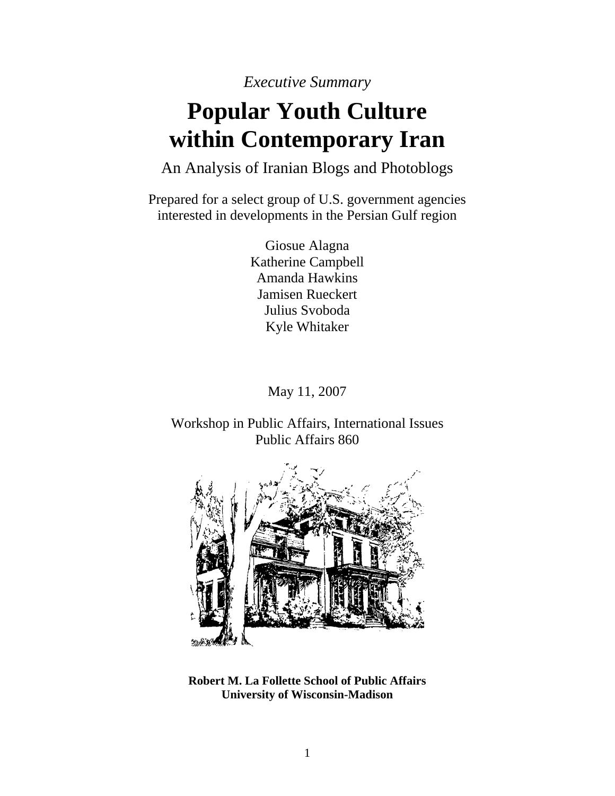*Executive Summary* 

## **Popular Youth Culture within Contemporary Iran**

An Analysis of Iranian Blogs and Photoblogs

Prepared for a select group of U.S. government agencies interested in developments in the Persian Gulf region

> Giosue Alagna Katherine Campbell Amanda Hawkins Jamisen Rueckert Julius Svoboda Kyle Whitaker

> > May 11, 2007

Workshop in Public Affairs, International Issues Public Affairs 860



**Robert M. La Follette School of Public Affairs University of Wisconsin-Madison**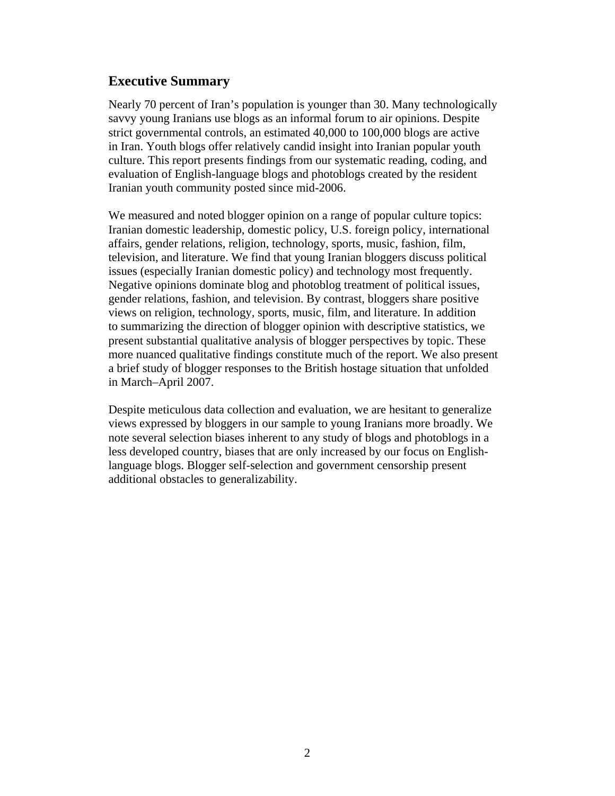## **Executive Summary**

Nearly 70 percent of Iran's population is younger than 30. Many technologically savvy young Iranians use blogs as an informal forum to air opinions. Despite strict governmental controls, an estimated 40,000 to 100,000 blogs are active in Iran. Youth blogs offer relatively candid insight into Iranian popular youth culture. This report presents findings from our systematic reading, coding, and evaluation of English-language blogs and photoblogs created by the resident Iranian youth community posted since mid-2006.

We measured and noted blogger opinion on a range of popular culture topics: Iranian domestic leadership, domestic policy, U.S. foreign policy, international affairs, gender relations, religion, technology, sports, music, fashion, film, television, and literature. We find that young Iranian bloggers discuss political issues (especially Iranian domestic policy) and technology most frequently. Negative opinions dominate blog and photoblog treatment of political issues, gender relations, fashion, and television. By contrast, bloggers share positive views on religion, technology, sports, music, film, and literature. In addition to summarizing the direction of blogger opinion with descriptive statistics, we present substantial qualitative analysis of blogger perspectives by topic. These more nuanced qualitative findings constitute much of the report. We also present a brief study of blogger responses to the British hostage situation that unfolded in March–April 2007.

Despite meticulous data collection and evaluation, we are hesitant to generalize views expressed by bloggers in our sample to young Iranians more broadly. We note several selection biases inherent to any study of blogs and photoblogs in a less developed country, biases that are only increased by our focus on Englishlanguage blogs. Blogger self-selection and government censorship present additional obstacles to generalizability.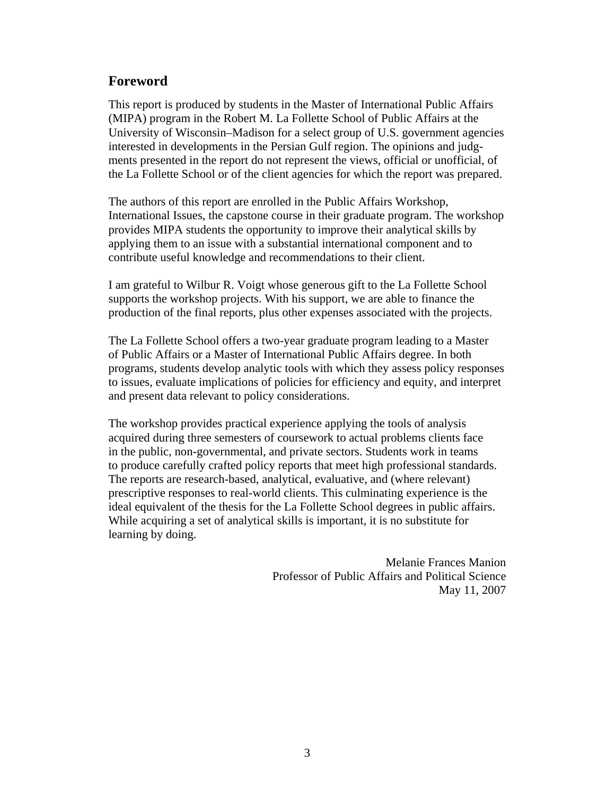## **Foreword**

This report is produced by students in the Master of International Public Affairs (MIPA) program in the Robert M. La Follette School of Public Affairs at the University of Wisconsin–Madison for a select group of U.S. government agencies interested in developments in the Persian Gulf region. The opinions and judgments presented in the report do not represent the views, official or unofficial, of the La Follette School or of the client agencies for which the report was prepared.

The authors of this report are enrolled in the Public Affairs Workshop, International Issues, the capstone course in their graduate program. The workshop provides MIPA students the opportunity to improve their analytical skills by applying them to an issue with a substantial international component and to contribute useful knowledge and recommendations to their client.

I am grateful to Wilbur R. Voigt whose generous gift to the La Follette School supports the workshop projects. With his support, we are able to finance the production of the final reports, plus other expenses associated with the projects.

The La Follette School offers a two-year graduate program leading to a Master of Public Affairs or a Master of International Public Affairs degree. In both programs, students develop analytic tools with which they assess policy responses to issues, evaluate implications of policies for efficiency and equity, and interpret and present data relevant to policy considerations.

The workshop provides practical experience applying the tools of analysis acquired during three semesters of coursework to actual problems clients face in the public, non-governmental, and private sectors. Students work in teams to produce carefully crafted policy reports that meet high professional standards. The reports are research-based, analytical, evaluative, and (where relevant) prescriptive responses to real-world clients. This culminating experience is the ideal equivalent of the thesis for the La Follette School degrees in public affairs. While acquiring a set of analytical skills is important, it is no substitute for learning by doing.

> Melanie Frances Manion Professor of Public Affairs and Political Science May 11, 2007